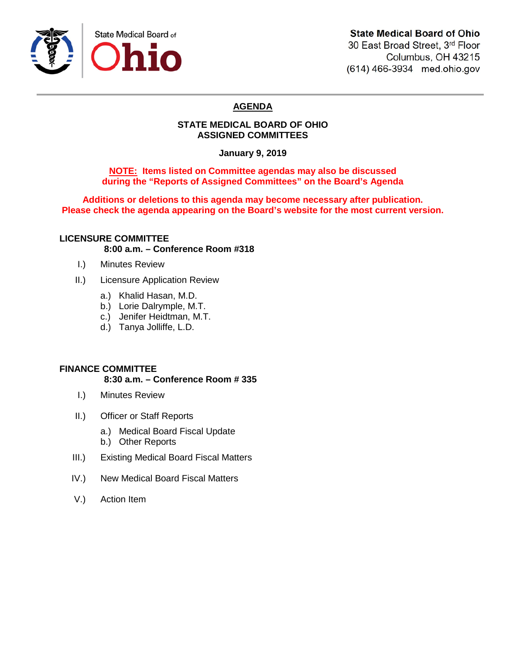

# **State Medical Board of Ohio**

30 East Broad Street, 3rd Floor Columbus, OH 43215 (614) 466-3934 med.ohio.gov

# **AGENDA**

### **STATE MEDICAL BOARD OF OHIO ASSIGNED COMMITTEES**

**January 9, 2019**

### **NOTE: Items listed on Committee agendas may also be discussed during the "Reports of Assigned Committees" on the Board's Agenda**

**Additions or deletions to this agenda may become necessary after publication. Please check the agenda appearing on the Board's website for the most current version.**

## **LICENSURE COMMITTEE 8:00 a.m. – Conference Room #318**

- I.) Minutes Review
- II.) Licensure Application Review
	- a.) Khalid Hasan, M.D.
	- b.) Lorie Dalrymple, M.T.
	- c.) Jenifer Heidtman, M.T.
	- d.) Tanya Jolliffe, L.D.

### **FINANCE COMMITTEE**

#### **8:30 a.m. – Conference Room # 335**

- I.) Minutes Review
- II.) Officer or Staff Reports
	- a.) Medical Board Fiscal Update
	- b.) Other Reports
- III.) Existing Medical Board Fiscal Matters
- IV.) New Medical Board Fiscal Matters
- V.) Action Item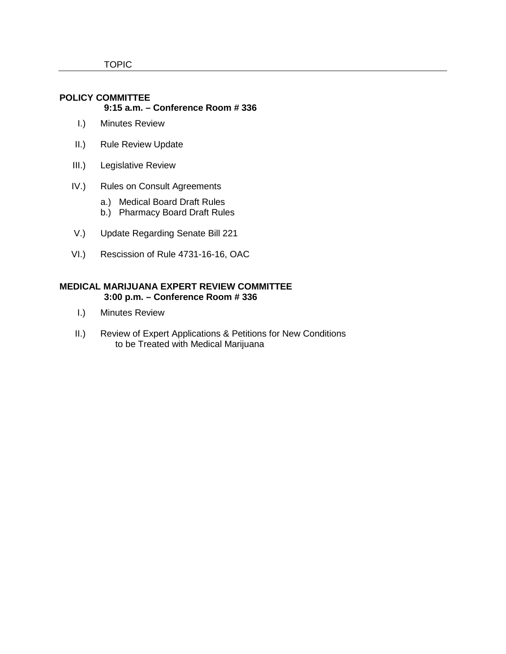#### **POLICY COMMITTEE 9:15 a.m. – Conference Room # 336**

- I.) Minutes Review
- II.) Rule Review Update
- III.) Legislative Review
- IV.) Rules on Consult Agreements
	- a.) Medical Board Draft Rules
	- b.) Pharmacy Board Draft Rules
- V.) Update Regarding Senate Bill 221
- VI.) Rescission of Rule 4731-16-16, OAC

### **MEDICAL MARIJUANA EXPERT REVIEW COMMITTEE 3:00 p.m. – Conference Room # 336**

- I.) Minutes Review
- II.) Review of Expert Applications & Petitions for New Conditions to be Treated with Medical Marijuana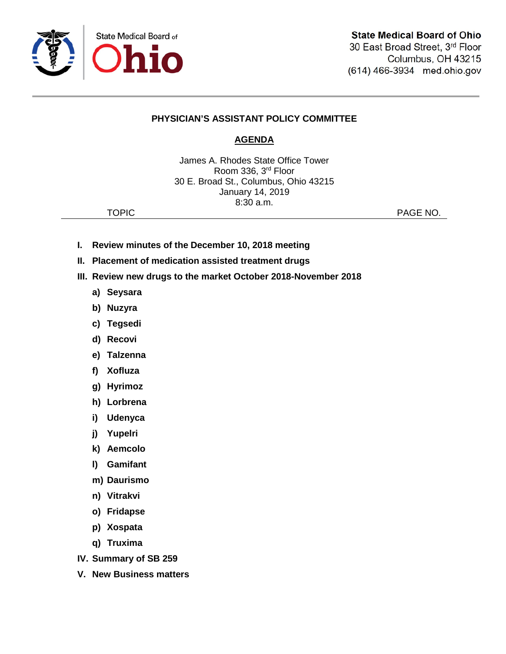

## **PHYSICIAN'S ASSISTANT POLICY COMMITTEE**

# **AGENDA**

James A. Rhodes State Office Tower Room 336, 3rd Floor 30 E. Broad St., Columbus, Ohio 43215 January 14, 2019 8:30 a.m.

TOPIC **PAGE NO.** 

- **I. Review minutes of the December 10, 2018 meeting**
- **II. Placement of medication assisted treatment drugs**
- **III. Review new drugs to the market October 2018-November 2018**
	- **a) Seysara**
	- **b) Nuzyra**
	- **c) Tegsedi**
	- **d) Recovi**
	- **e) Talzenna**
	- **f) Xofluza**
	- **g) Hyrimoz**
	- **h) Lorbrena**
	- **i) Udenyca**
	- **j) Yupelri**
	- **k) Aemcolo**
	- **l) Gamifant**
	- **m) Daurismo**
	- **n) Vitrakvi**
	- **o) Fridapse**
	- **p) Xospata**
	- **q) Truxima**
- **IV. Summary of SB 259**
- **V. New Business matters**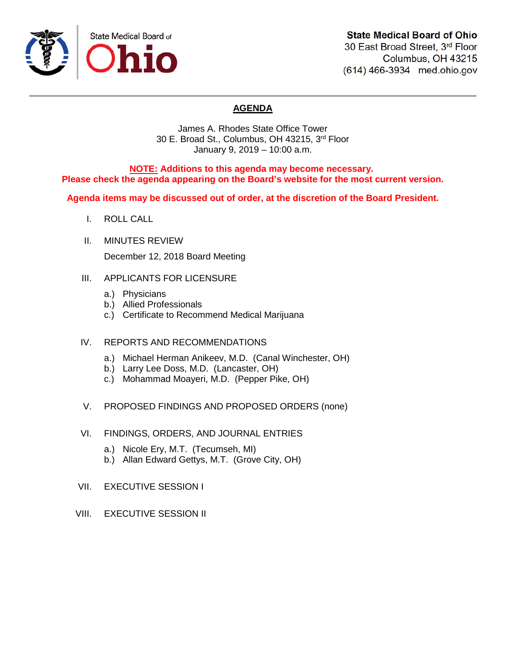

# **State Medical Board of Ohio**

30 East Broad Street, 3rd Floor Columbus, OH 43215 (614) 466-3934 med.ohio.gov

# **AGENDA**

James A. Rhodes State Office Tower 30 E. Broad St., Columbus, OH 43215, 3rd Floor January 9, 2019 – 10:00 a.m.

**NOTE: Additions to this agenda may become necessary. Please check the agenda appearing on the Board's website for the most current version.**

**Agenda items may be discussed out of order, at the discretion of the Board President.**

- I. ROLL CALL
- II. MINUTES REVIEW

December 12, 2018 Board Meeting

- III. APPLICANTS FOR LICENSURE
	- a.) Physicians
	- b.) Allied Professionals
	- c.) Certificate to Recommend Medical Marijuana
- IV. REPORTS AND RECOMMENDATIONS
	- a.) Michael Herman Anikeev, M.D. (Canal Winchester, OH)
	- b.) Larry Lee Doss, M.D. (Lancaster, OH)
	- c.) Mohammad Moayeri, M.D. (Pepper Pike, OH)
- V. PROPOSED FINDINGS AND PROPOSED ORDERS (none)
- VI. FINDINGS, ORDERS, AND JOURNAL ENTRIES
	- a.) Nicole Ery, M.T. (Tecumseh, MI)
	- b.) Allan Edward Gettys, M.T. (Grove City, OH)
- VII. EXECUTIVE SESSION I
- VIII. EXECUTIVE SESSION II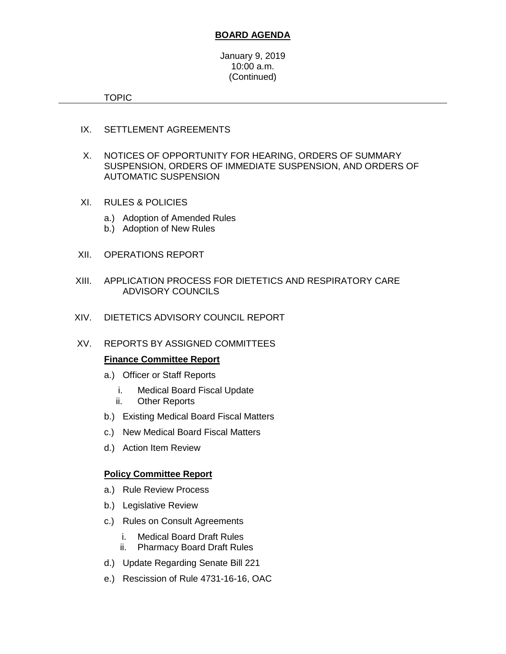### **BOARD AGENDA**

January 9, 2019 10:00 a.m. (Continued)

TOPIC

- IX. SETTLEMENT AGREEMENTS
- X. NOTICES OF OPPORTUNITY FOR HEARING, ORDERS OF SUMMARY SUSPENSION, ORDERS OF IMMEDIATE SUSPENSION, AND ORDERS OF AUTOMATIC SUSPENSION
- XI. RULES & POLICIES
	- a.) Adoption of Amended Rules
	- b.) Adoption of New Rules
- XII. OPERATIONS REPORT
- XIII. APPLICATION PROCESS FOR DIETETICS AND RESPIRATORY CARE ADVISORY COUNCILS
- XIV. DIETETICS ADVISORY COUNCIL REPORT
- XV. REPORTS BY ASSIGNED COMMITTEES

### **Finance Committee Report**

- a.) Officer or Staff Reports
	- i. Medical Board Fiscal Update
	- ii. Other Reports
- b.) Existing Medical Board Fiscal Matters
- c.) New Medical Board Fiscal Matters
- d.) Action Item Review

### **Policy Committee Report**

- a.) Rule Review Process
- b.) Legislative Review
- c.) Rules on Consult Agreements
	- i. Medical Board Draft Rules
	- ii. Pharmacy Board Draft Rules
- d.) Update Regarding Senate Bill 221
- e.) Rescission of Rule 4731-16-16, OAC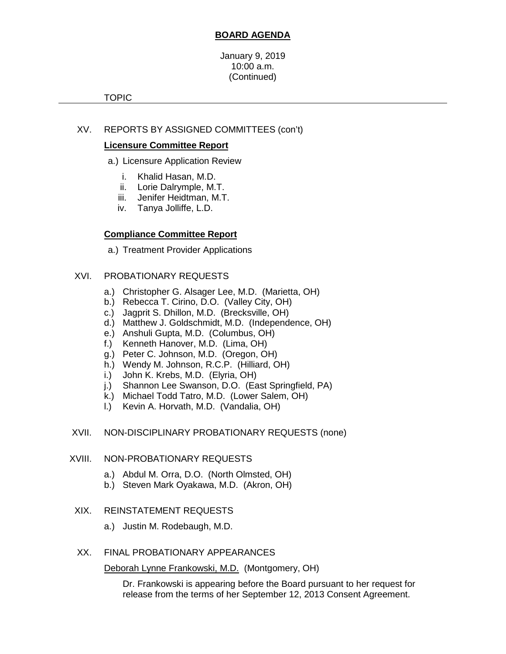## **BOARD AGENDA**

#### January 9, 2019 10:00 a.m. (Continued)

#### TOPIC

## XV. REPORTS BY ASSIGNED COMMITTEES (con't)

### **Licensure Committee Report**

- a.) Licensure Application Review
	- i. Khalid Hasan, M.D.
	- ii. Lorie Dalrymple, M.T.
	- iii. Jenifer Heidtman, M.T.
	- iv. Tanya Jolliffe, L.D.

## **Compliance Committee Report**

a.) Treatment Provider Applications

## XVI. PROBATIONARY REQUESTS

- a.) Christopher G. Alsager Lee, M.D. (Marietta, OH)
- b.) Rebecca T. Cirino, D.O. (Valley City, OH)
- c.) Jagprit S. Dhillon, M.D. (Brecksville, OH)
- d.) Matthew J. Goldschmidt, M.D. (Independence, OH)
- e.) Anshuli Gupta, M.D. (Columbus, OH)
- f.) Kenneth Hanover, M.D. (Lima, OH)
- g.) Peter C. Johnson, M.D. (Oregon, OH)
- h.) Wendy M. Johnson, R.C.P. (Hilliard, OH)
- i.) John K. Krebs, M.D. (Elyria, OH)
- j.) Shannon Lee Swanson, D.O. (East Springfield, PA)
- k.) Michael Todd Tatro, M.D. (Lower Salem, OH)
- l.) Kevin A. Horvath, M.D. (Vandalia, OH)

### XVII. NON-DISCIPLINARY PROBATIONARY REQUESTS (none)

### XVIII. NON-PROBATIONARY REQUESTS

- a.) Abdul M. Orra, D.O. (North Olmsted, OH)
- b.) Steven Mark Oyakawa, M.D. (Akron, OH)

### XIX. REINSTATEMENT REQUESTS

a.) Justin M. Rodebaugh, M.D.

### XX. FINAL PROBATIONARY APPEARANCES

Deborah Lynne Frankowski, M.D. (Montgomery, OH)

Dr. Frankowski is appearing before the Board pursuant to her request for release from the terms of her September 12, 2013 Consent Agreement.